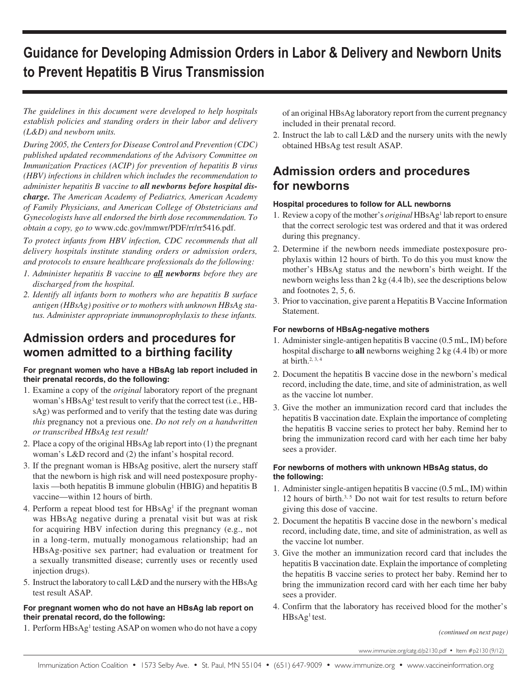# **Guidance for Developing Admission Orders in Labor & Delivery and Newborn Units to Prevent Hepatitis B Virus Transmission**

*The guidelines in this document were developed to help hospitals establish policies and standing orders in their labor and delivery (L&D) and newborn units.* 

*During 2005, the Centers for Disease Control and Prevention (CDC) published updated recommendations of the Advisory Committee on Immunization Practices (ACIP) for prevention of hepatitis B virus (HBV) infections in children which includes the recommendation to administer hepatitis B vaccine to all newborns before hospital discharge. The American Academy of Pediatrics, American Academy of Family Physicians, and American College of Obstetricians and Gynecologists have all endorsed the birth dose recommendation. To obtain a copy, go to* www.cdc.gov/mmwr/PDF/rr/rr5416.pdf.

*To protect infants from HBV infection, CDC recommends that all delivery hospitals institute standing orders or admission orders, and protocols to ensure healthcare professionals do the following:*

- *1. Administer hepatitis B vaccine to all newborns before they are discharged from the hospital.*
- *2. Identify all infants born to mothers who are hepatitis B surface antigen (HBsAg) positive or to mothers with unknown HBsAg status. Administer appropriate immunoprophylaxis to these infants.*

# **Admission orders and procedures for women admitted to a birthing facility**

### **For pregnant women who have a HBsAg lab report included in their prenatal records, do the following:**

- 1. Examine a copy of the *original* laboratory report of the pregnant woman's HBsAg<sup>1</sup> test result to verify that the correct test (i.e., HBsAg) was performed and to verify that the testing date was during *this* pregnancy not a previous one. *Do not rely on a handwritten or transcribed HBsAg test result!*
- 2. Place a copy of the original HBsAg lab report into (1) the pregnant woman's L&D record and (2) the infant's hospital record.
- 3. If the pregnant woman is HBsAg positive, alert the nursery staff that the newborn is high risk and will need postexposure prophylaxis —both hepatitis B immune globulin (HBIG) and hepatitis B vaccine—within 12 hours of birth.
- 4. Perform a repeat blood test for HBsAg<sup>1</sup> if the pregnant woman was HBsAg negative during a prenatal visit but was at risk for acquiring HBV infection during this pregnancy (e.g., not in a long-term, mutually monogamous relationship; had an HBsAg-positive sex partner; had evaluation or treatment for a sexually transmitted disease; currently uses or recently used injection drugs).
- 5. Instruct the laboratory to call L&D and the nursery with the HBsAg test result ASAP.

### **For pregnant women who do not have an HBsAg lab report on their prenatal record, do the following:**

1. Perform HBsAg<sup>1</sup> testing ASAP on women who do not have a copy

of an original HBsAg laboratory report from the current pregnancy included in their prenatal record.

2. Instruct the lab to call L&D and the nursery units with the newly obtained HBsAg test result ASAP.

# **Admission orders and procedures for newborns**

# **Hospital procedures to follow for ALL newborns**

- 1. Review a copy of the mother's *original* HBsAg1 lab report to ensure that the correct serologic test was ordered and that it was ordered during this pregnancy.
- 2. Determine if the newborn needs immediate postexposure prophylaxis within 12 hours of birth. To do this you must know the mother's HBsAg status and the newborn's birth weight. If the newborn weighs less than 2 kg (4.4 lb), see the descriptions below and footnotes 2, 5, 6.
- 3. Prior to vaccination, give parent a Hepatitis B Vaccine Information Statement.

# **For newborns of HBsAg-negative mothers**

- 1. Administer single-antigen hepatitis B vaccine (0.5 mL, IM) before hospital discharge to **all** newborns weighing 2 kg (4.4 lb) or more at birth. $2, 3, 4$
- 2. Document the hepatitis B vaccine dose in the newborn's medical record, including the date, time, and site of administration, as well as the vaccine lot number.
- 3. Give the mother an immunization record card that includes the hepatitis B vaccination date. Explain the importance of completing the hepatitis B vaccine series to protect her baby. Remind her to bring the immunization record card with her each time her baby sees a provider.

### **For newborns of mothers with unknown HBsAg status, do the following:**

- 1. Administer single-antigen hepatitis B vaccine (0.5 mL, IM) within 12 hours of birth.<sup>3, 5</sup> Do not wait for test results to return before giving this dose of vaccine.
- 2. Document the hepatitis B vaccine dose in the newborn's medical record, including date, time, and site of administration, as well as the vaccine lot number.
- 3. Give the mother an immunization record card that includes the hepatitis B vaccination date. Explain the importance of completing the hepatitis B vaccine series to protect her baby. Remind her to bring the immunization record card with her each time her baby sees a provider.
- 4. Confirm that the laboratory has received blood for the mother's  $HBsAg<sup>1</sup>$  test.

*(continued on next page)*

www.immunize.org/catg.d/p2130.pdf *•* Item #p2130 (9/12)